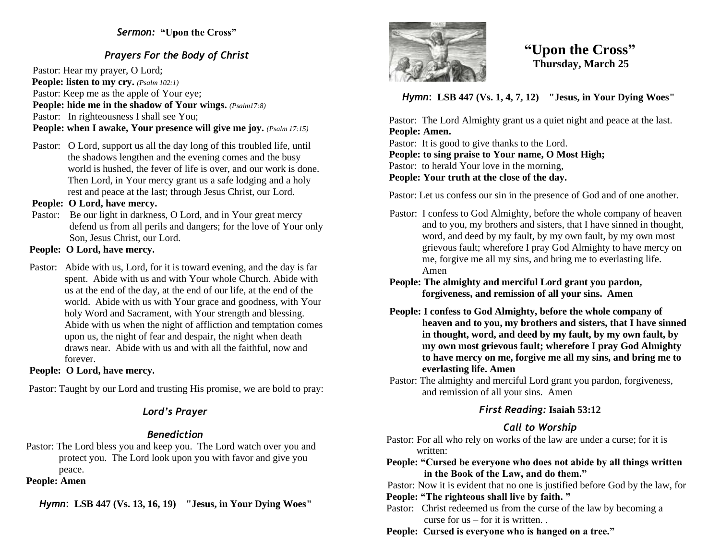### *Sermon:* **"Upon the Cross"**

## *Prayers For the Body of Christ*

Pastor: Hear my prayer, O Lord; **People: listen to my cry.** *(Psalm 102:1)* Pastor: Keep me as the apple of Your eye; **People: hide me in the shadow of Your wings.** *(Psalm17:8)* Pastor: In righteousness I shall see You; **People: when I awake, Your presence will give me joy.** *(Psalm 17:15)* 

Pastor: O Lord, support us all the day long of this troubled life, until the shadows lengthen and the evening comes and the busy world is hushed, the fever of life is over, and our work is done. Then Lord, in Your mercy grant us a safe lodging and a holy rest and peace at the last; through Jesus Christ, our Lord.

#### **People: O Lord, have mercy.**

Pastor: Be our light in darkness, O Lord, and in Your great mercy defend us from all perils and dangers; for the love of Your only Son, Jesus Christ, our Lord.

#### **People: O Lord, have mercy.**

Pastor: Abide with us, Lord, for it is toward evening, and the day is far spent. Abide with us and with Your whole Church. Abide with us at the end of the day, at the end of our life, at the end of the world. Abide with us with Your grace and goodness, with Your holy Word and Sacrament, with Your strength and blessing. Abide with us when the night of affliction and temptation comes upon us, the night of fear and despair, the night when death draws near. Abide with us and with all the faithful, now and forever.

#### **People: O Lord, have mercy.**

Pastor: Taught by our Lord and trusting His promise, we are bold to pray:

# *Lord's Prayer*

# *Benediction*

Pastor: The Lord bless you and keep you. The Lord watch over you and protect you. The Lord look upon you with favor and give you peace.

## **People: Amen**

*Hymn*: **LSB 447 (Vs. 13, 16, 19) "Jesus, in Your Dying Woes"**



# **"Upon the Cross" Thursday, March 25**

*Hymn*: **LSB 447 (Vs. 1, 4, 7, 12) "Jesus, in Your Dying Woes"**

 Pastor: The Lord Almighty grant us a quiet night and peace at the last.  **People: Amen.**

 Pastor: It is good to give thanks to the Lord.  **People: to sing praise to Your name, O Most High;** Pastor: to herald Your love in the morning,  **People: Your truth at the close of the day.** 

Pastor: Let us confess our sin in the presence of God and of one another.

- Pastor: I confess to God Almighty, before the whole company of heaven and to you, my brothers and sisters, that I have sinned in thought, word, and deed by my fault, by my own fault, by my own most grievous fault; wherefore I pray God Almighty to have mercy on me, forgive me all my sins, and bring me to everlasting life. Amen
- **People: The almighty and merciful Lord grant you pardon, forgiveness, and remission of all your sins. Amen**
- **People: I confess to God Almighty, before the whole company of heaven and to you, my brothers and sisters, that I have sinned in thought, word, and deed by my fault, by my own fault, by my own most grievous fault; wherefore I pray God Almighty to have mercy on me, forgive me all my sins, and bring me to everlasting life. Amen**
- Pastor: The almighty and merciful Lord grant you pardon, forgiveness, and remission of all your sins. Amen

# *First Reading:* **Isaiah 53:12**

# *Call to Worship*

 Pastor: For all who rely on works of the law are under a curse; for it is written:

 **People: "Cursed be everyone who does not abide by all things written in the Book of the Law, and do them."**

 Pastor: Now it is evident that no one is justified before God by the law, for  **People: "The righteous shall live by faith. "**

Pastor: Christ redeemed us from the curse of the law by becoming a curse for us – for it is written. .

 **People: Cursed is everyone who is hanged on a tree."**